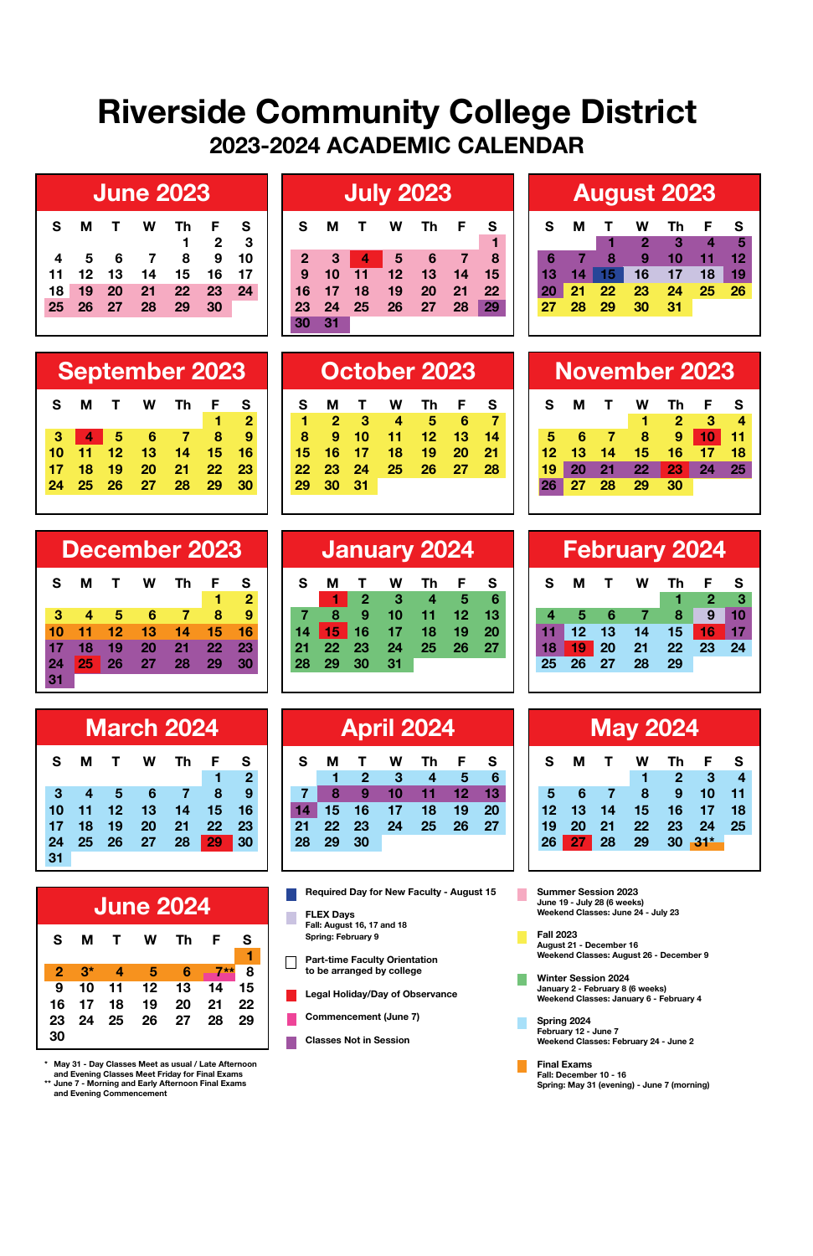## **Riverside Community College District 2023-2024 ACADEMIC CALENDAR**

|                 | <b>June 2023</b> |     |    |              |    |      | <b>July 2023</b> |    |    |                 |    |     |    | <b>August 2023</b> |    |    |    |    |                        |  |
|-----------------|------------------|-----|----|--------------|----|------|------------------|----|----|-----------------|----|-----|----|--------------------|----|----|----|----|------------------------|--|
| S.              | м                |     | w  | Th           | F  | - S  | s                | м  |    | w               | Th | - F | -S | s                  | м  |    | W  | Th | - F                    |  |
|                 |                  |     |    |              | 2  | -3   |                  |    |    |                 |    |     |    |                    |    |    |    |    | $\boldsymbol{\Lambda}$ |  |
|                 | 5                | - 6 |    | 8            | 9  | - 10 | $\mathbf{2}$     | -3 | 4  | 5               | 6  |     | 8  | 6                  |    | 8  | 9  | 10 | -11                    |  |
| $-11$           | 12               | 13  | 14 | 15           | 16 |      | 9                | 10 | 11 | 12 <sup>2</sup> | 13 | 14  | 15 | 13                 |    |    | 16 | 17 | 18                     |  |
| 18 <sup>1</sup> | 19               | 20  | 21 | $22^{\circ}$ | 23 | 24   | 16               |    | 18 | 19              | 20 | 21  | 22 |                    | 21 | 22 | 23 | 24 | - 25                   |  |
| 25              | 26               | 27  | 28 | 29           | 30 |      | 23               | 24 | 25 | 26              | 27 | 28  | 29 | 27                 | 28 | 29 | 30 | 31 |                        |  |
|                 |                  |     |    |              |    |      |                  |    |    |                 |    |     |    |                    |    |    |    |    |                        |  |

|                |       |                         |   | JUIY ZUZJ          |     |    |
|----------------|-------|-------------------------|---|--------------------|-----|----|
| s              | м     | $\mathbf{T}$            | W | Th                 | - F | s  |
|                |       |                         |   |                    |     | 1  |
| $\overline{2}$ | -3    | $\overline{\mathbf{4}}$ | 5 | - 6                | s   | 8  |
| 9              | 10    |                         |   | 11  12  13  14  15 |     |    |
| 16             | 17    | 18                      |   | 19 20              | 21  | 22 |
| 23             |       |                         |   | 24 25 26 27 28 29  |     |    |
| 30             | $-31$ |                         |   |                    |     |    |
|                |       |                         |   |                    |     |    |

 **S M T W Th F S 1 2 3 4 5 6 7 8 9 10 11 12 13 14 15 16 17 18 19 20 21 22 23 24 25 26 27 28 29 30 31**

| <b>August 2023</b> |             |  |                             |          |     |                   |  |  |  |  |
|--------------------|-------------|--|-----------------------------|----------|-----|-------------------|--|--|--|--|
| s.                 |             |  | M T W Th                    |          | F S |                   |  |  |  |  |
|                    |             |  | $1 \quad 2 \quad 3 \quad 4$ |          |     | $\blacksquare$ 57 |  |  |  |  |
|                    | $6 \t7 \t8$ |  | 9 10 11 12                  |          |     |                   |  |  |  |  |
|                    |             |  | 13 14 15 16                 | 17 18 19 |     |                   |  |  |  |  |
|                    |             |  | 20 21 22 23 24 25 26        |          |     |                   |  |  |  |  |
|                    |             |  | 27 28 29 30 31              |          |     |                   |  |  |  |  |

 **S M T W Th F S**

 **5 6 7 8 9 10 11 12 13 14 15 16 17 18 19 20 21 22 23 24 25 26 27 28 29 30**

**1 2 3 4** 

**September 2023 October 2023 November 2023**

| <b>September 2023</b> |    |              |     |    |    |                |  |  |
|-----------------------|----|--------------|-----|----|----|----------------|--|--|
| s                     | м  | $\mathbf{T}$ | w   | Th | F  | s              |  |  |
|                       |    |              |     |    | 1  | $\overline{2}$ |  |  |
| з                     |    | - 5          | - 6 |    | 8  | 9              |  |  |
| 10                    | 11 | 12           | 13  | 14 | 15 | 16             |  |  |
| 17                    | 18 | 19           | 20  | 21 | 22 | 23             |  |  |
| 24                    | 25 | 26           | 27  | 28 | 29 | 30             |  |  |
|                       |    |              |     |    |    |                |  |  |

| December 2023 |    |    |    |    |    |                |  |  |  |
|---------------|----|----|----|----|----|----------------|--|--|--|
| s             | м  | т  | w  | Th | F  | s              |  |  |  |
|               |    |    |    |    |    | $\overline{2}$ |  |  |  |
| з             | 4  | 5  | 6  |    | 8  | 9              |  |  |  |
| 10            | 11 | 12 | 13 | 14 | 15 | 16             |  |  |  |
| 17            | 18 | 19 | 20 | 21 | 22 | 23             |  |  |  |
| 24            | 25 | 26 | 27 | 28 | 29 | 30             |  |  |  |
|               |    |    |    |    |    |                |  |  |  |

| <b>March 2024</b> |                |                  |          |                |     |                |  |  |  |  |
|-------------------|----------------|------------------|----------|----------------|-----|----------------|--|--|--|--|
| s                 | м              | $\mathbf{T}$     | <b>W</b> | Th             | - F | s              |  |  |  |  |
|                   |                |                  |          |                | 1   | $\overline{2}$ |  |  |  |  |
| 3                 | $\overline{4}$ | $\blacksquare$ 5 | - 6      | $\blacksquare$ | - 8 | $\mathbf{Q}$   |  |  |  |  |
| 10                | 11             | $-12$            | 13       | 14             | -15 | 16             |  |  |  |  |
| 17                | 18             | 19               | 20       | -21            | 22  | 23             |  |  |  |  |
| 24                | 25 26          |                  | 27       | -28            | 29  | 30             |  |  |  |  |
|                   |                |                  |          |                |     |                |  |  |  |  |

|    |      |                | <b>June 2024</b> |                 |        |      |
|----|------|----------------|------------------|-----------------|--------|------|
| s  | м    | $\mathbf{T}$   | w                | Тh              | - F    | s    |
|    |      |                |                  |                 |        |      |
| 2  | $3*$ | $\overline{a}$ | - 5              | -61             | $-7**$ | 8    |
| 9  | 10   | - 11           | 12               | $\overline{13}$ | -14    | 15   |
| 16 | 17   | 18             | 19               | 20              | 21     | - 22 |
| 23 | 24   | - 25           | 26 27            |                 | - 28   | 29   |
| 30 |      |                |                  |                 |        |      |

**\* May 31 - Day Classes Meet as usual / Late Afternoon and Evening Classes Meet Friday for Final Exams \*\* June 7 - Morning and Early Afternoon Final Exams and Evening Commencement**

| December 2023 |                      |    |    |           |    |    | January 2024 |    |               |    |                  |     |      |  | <b>February 2024</b> |    |    |    |    |                 |  |  |
|---------------|----------------------|----|----|-----------|----|----|--------------|----|---------------|----|------------------|-----|------|--|----------------------|----|----|----|----|-----------------|--|--|
|               | м                    |    | w  | <b>Th</b> | F. | S  |              | м  |               | W  | Th               | F S |      |  | s.                   | м  | т  | w  | Th |                 |  |  |
|               |                      |    |    |           |    |    |              |    | $\mathcal{P}$ |    | $\boldsymbol{A}$ | 5   |      |  |                      |    |    |    |    |                 |  |  |
|               | $\blacktriangleleft$ | 5  | 6  |           |    | -9 |              |    | 9             | 10 | 11.              | 127 | - 13 |  |                      | 5  | 6  |    | 8  | 9               |  |  |
|               |                      | 12 | 13 | 14        | 15 | 16 | 14           | 15 | 16            | 17 | 18               | 19  | 20   |  |                      | 12 | 13 | 14 | 15 | 16 <sup>1</sup> |  |  |
|               | 18                   | 19 | 20 |           | 22 | 23 |              | 22 | 23            | 24 | 25 26            |     | 27   |  | 18                   | 19 | 20 | 21 | 22 | - 23            |  |  |
|               | 25                   |    | 97 | 28        | 29 | 30 |              | 29 | 30            | 31 |                  |     |      |  | 25                   | 26 |    |    | 29 |                 |  |  |
|               |                      |    |    |           |    |    |              |    |               |    |                  |     |      |  |                      |    |    |    |    |                 |  |  |

|   | <b>March 2024</b> |    |    |     |    |  | <b>April 2024</b> |    |                 |    |    |       |     |                 |                 |    | <b>May 2024</b> |        |  |
|---|-------------------|----|----|-----|----|--|-------------------|----|-----------------|----|----|-------|-----|-----------------|-----------------|----|-----------------|--------|--|
|   | 1 T               | w  | Th | FS. |    |  | s                 | м  |                 | w  | Th | - F - | - S | s               | м               |    | w               | Th     |  |
|   |                   |    |    |     | 2  |  |                   |    | 2               | 3  |    | 5     | 6   |                 |                 |    |                 |        |  |
| 4 | 5                 | 6  |    |     | 9  |  |                   |    |                 |    |    |       |     | 5               |                 |    | 8               |        |  |
|   | $1 \quad 12$      | 13 | 14 | 15  | 16 |  |                   | 15 | 16              | 17 | 18 | 19    | 20  | 12 <sub>2</sub> | 13 <sub>l</sub> | 14 | 15              | 16     |  |
|   | 8 19              | 20 | 21 | 22  | 23 |  | 21                |    | 22 23           | 24 | 25 | 26 27 |     | 19              | 20              | 21 | 22              | - 23   |  |
|   | 526               | 27 | 28 | 29  | 30 |  | 28                | 29 | 30 <sup>°</sup> |    |    |       |     | 26              | 27              | 28 | 29              | $30 -$ |  |
|   |                   |    |    |     |    |  |                   |    |                 |    |    |       |     |                 |                 |    |                 |        |  |

- **T FLEX Days Fall: August 16, 17 and 18 Spring: February 9**
- **Part-time Faculty Orientation to be arranged by college**
- **Legal Holiday/Day of Observance**
- **Commencement (June 7)**
- **Classes Not in Session**

|    |       |              |    | <b>February 2024</b> |                 |    |
|----|-------|--------------|----|----------------------|-----------------|----|
| s  | м     | $\mathbf{T}$ | W  | Th                   | F               | s  |
|    |       |              |    | 1                    | 42              | 3  |
| 4  | 5     | - 6          | -7 | 8                    | 9               | 10 |
| 11 | 12    | $-13$        | 14 | 15                   | 16 <sub>1</sub> | 17 |
| 18 | 19    | 20           | 21 | 22                   | 23              | 24 |
| 25 | 26 27 |              | 28 | 29                   |                 |    |
|    |       |              |    |                      |                 |    |

| <b>May 2024</b> |     |                |             |                |                            |                |  |  |  |  |
|-----------------|-----|----------------|-------------|----------------|----------------------------|----------------|--|--|--|--|
| s.              |     | M T            | <b>W</b>    |                | Th F                       | - S            |  |  |  |  |
|                 |     |                | 1           | $\blacksquare$ | $\blacksquare$ 37          | $\overline{4}$ |  |  |  |  |
| 5 <sup>1</sup>  | - 6 | $\blacksquare$ | 89          |                | $10 \quad 11$              |                |  |  |  |  |
|                 |     |                |             |                | 12  13  14  15  16  17  18 |                |  |  |  |  |
| 19 20           |     |                | 21 22 23 24 |                |                            | $-25$          |  |  |  |  |
|                 |     |                | 26 27 28 29 |                | $30 - 31^*$                |                |  |  |  |  |

**Required Day for New Faculty - August 15 June 7 . . . . . . Commencement and Final Exams Summer Session 2023 June 19 - July 28 (6 weeks) Weekend Classes: June 24 - July 23**

- **Fall 2023 August 21 December 16 Weekend Classes: August 26 December 9**
- **Winter Session 2024 January 2 February 8 (6 weeks) Weekend Classes: January 6 - February 4**
- **Spring 2024 February 12 June 7 Weekend Classes: February 24 June 2**
- **Final Exams Fall: December 10 16 Spring: May 31 (evening) - June 7 (morning)**